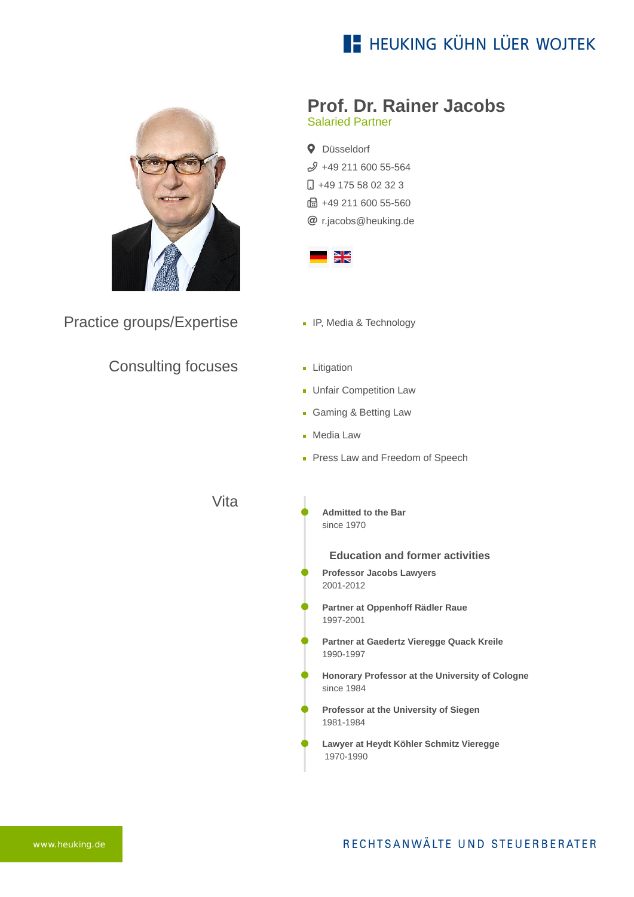# **E- HEUKING KÜHN LÜER WOJTEK**



Practice groups/Expertise

### Consulting focuses

#### **Prof. Dr. Rainer Jacobs** Salaried Partner

**Q** Düsseldorf  $$49$  211 600 55-564  $\Box$  [+49 175 58 02 32 3](tel:+491755802323)  $\frac{1}{21}$  +49 211 600 55-560

[r.jacobs@heuking.de](mailto:r.jacobs@heuking.de?subject=Contact%20via%20website%20heuking.de)



- **IP, Media & Technology**
- **Litigation**
- **Unfair Competition Law**
- Gaming & Betting Law
- **Media Law**
- Press Law and Freedom of Speech

Vita

**Admitted to the Bar** since 1970

**Education and former activities**

- **Professor Jacobs Lawyers** 2001-2012
- **Partner at Oppenhoff Rädler Raue** 1997-2001
- **Partner at Gaedertz Vieregge Quack Kreile** 1990-1997
- **Honorary Professor at the University of Cologne** since 1984
- **Professor at the University of Siegen** 1981-1984
- **Lawyer at Heydt Köhler Schmitz Vieregge** 1970-1990